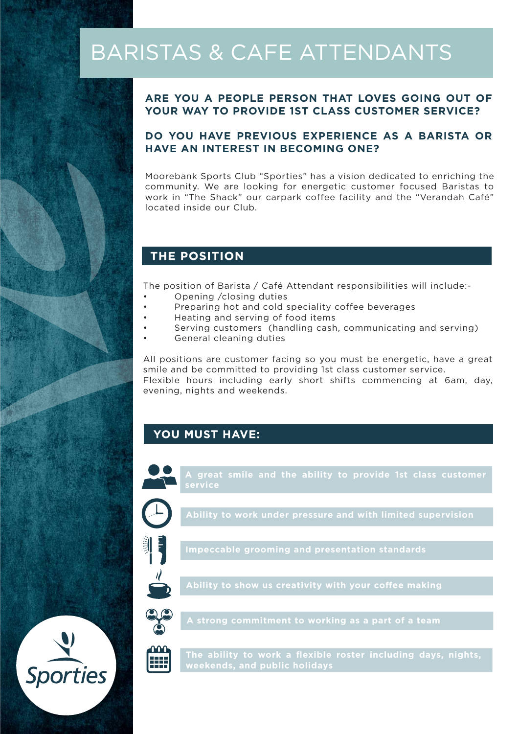# **BARISTAS & CAFE ATTENDANTS**

#### **ARE YOU A PEOPLE PERSON THAT LOVES GOING OUT OF YOUR WAY TO PROVIDE 1ST CLASS CUSTOMER SERVICE?**

#### **DO YOU HAVE PREVIOUS EXPERIENCE AS A BARISTA OR HAVE AN INTEREST IN BECOMING ONE?**

Moorebank Sports Club "Sporties" has a vision dedicated to enriching the community. We are looking for energetic customer focused Baristas to work in "The Shack" our carpark coffee facility and the "Verandah Café" located inside our Club.

## **THE POSITION**

The position of Barista / Café Attendant responsibilities will include:-

- Opening /closing duties
- Preparing hot and cold speciality coffee beverages
- Heating and serving of food items
- Serving customers (handling cash, communicating and serving)
- General cleaning duties

All positions are customer facing so you must be energetic, have a great smile and be committed to providing 1st class customer service. Flexible hours including early short shifts commencing at 6am, day, evening, nights and weekends.

### **YOU MUST HAVE:**